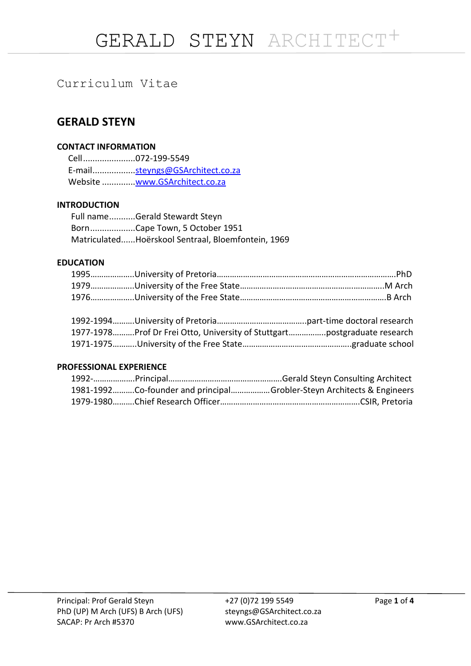# Curriculum Vitae

# **GERALD STEYN**

# **CONTACT INFORMATION**

Cell......................072-199-5549 E-mail.................[.steyngs@GSArchitect.co.za](mailto:steyngs@GSArchitect.co.za) Website ...............<u>www.GSArchitect.co.za</u>

# **INTRODUCTION**

Full name...........Gerald Stewardt Steyn Born...................Cape Town, 5 October 1951 Matriculated......Hoërskool Sentraal, Bloemfontein, 1969

# **EDUCATION**

|  | 1977-1978Prof Dr Frei Otto, University of Stuttgartpostgraduate research |
|--|--------------------------------------------------------------------------|
|  |                                                                          |

# **PROFESSIONAL EXPERIENCE**

|  | 1981-1992Co-founder and principalGrobler-Steyn Architects & Engineers |
|--|-----------------------------------------------------------------------|
|  |                                                                       |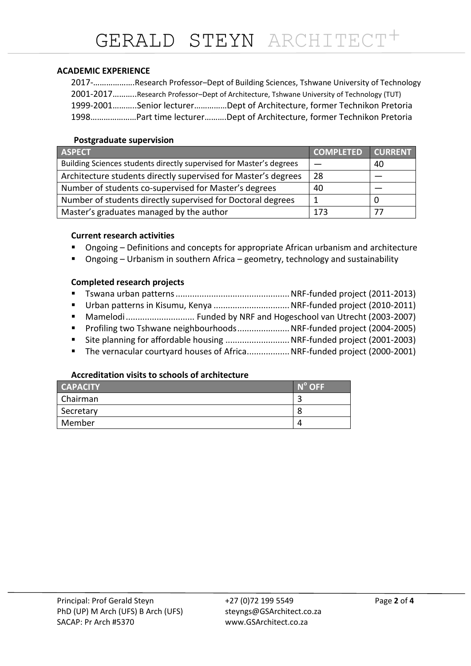# **ACADEMIC EXPERIENCE**

|  | 2017-Research Professor-Dept of Building Sciences, Tshwane University of Technology      |
|--|------------------------------------------------------------------------------------------|
|  | 2001-2017Research Professor-Dept of Architecture, Tshwane University of Technology (TUT) |
|  | 1999-2001Senior lecturerDept of Architecture, former Technikon Pretoria                  |
|  | 1998Part time lecturerDept of Architecture, former Technikon Pretoria                    |

# **Postgraduate supervision**

| <b>ASPECT</b>                                                       | <b>COMPLETED</b> | <b>CURRENT</b> |
|---------------------------------------------------------------------|------------------|----------------|
| Building Sciences students directly supervised for Master's degrees |                  | 40             |
| Architecture students directly supervised for Master's degrees      | 28               |                |
| Number of students co-supervised for Master's degrees               | 40               |                |
| Number of students directly supervised for Doctoral degrees         |                  |                |
| Master's graduates managed by the author                            | 173              |                |

#### **Current research activities**

- Ongoing Definitions and concepts for appropriate African urbanism and architecture
- Ongoing Urbanism in southern Africa geometry, technology and sustainability

#### **Completed research projects**

| ■ The vernacular courtyard houses of AfricaNRF-funded project (2000-2001) |  |
|---------------------------------------------------------------------------|--|
|                                                                           |  |

#### **Accreditation visits to schools of architecture**

| <b>CAPACITY</b> | $N^{\circ}$ OFF |
|-----------------|-----------------|
| Chairman        |                 |
| Secretary       | 8               |
| Member          | Д               |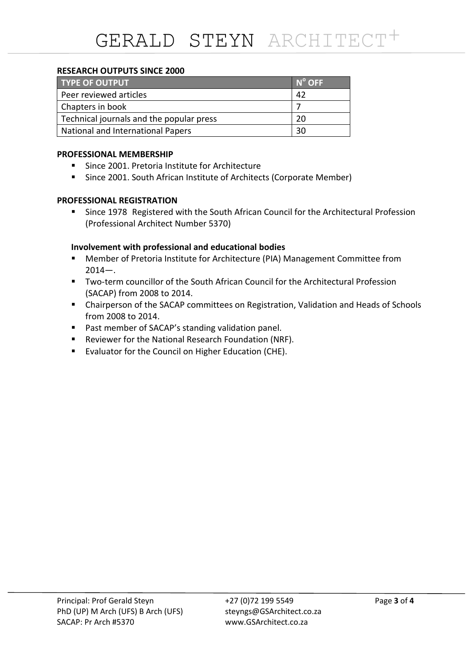# **RESEARCH OUTPUTS SINCE 2000**

| <b>TYPE OF OUTPUT</b>                    | $N^{\circ}$ OFF |
|------------------------------------------|-----------------|
| Peer reviewed articles                   | 42              |
| Chapters in book                         |                 |
| Technical journals and the popular press | 20              |
| <b>National and International Papers</b> | 30              |

# **PROFESSIONAL MEMBERSHIP**

- **Since 2001. Pretoria Institute for Architecture**
- **Since 2001. South African Institute of Architects (Corporate Member)**

# **PROFESSIONAL REGISTRATION**

 Since 1978 Registered with the South African Council for the Architectural Profession (Professional Architect Number 5370)

# **Involvement with professional and educational bodies**

- Member of Pretoria Institute for Architecture (PIA) Management Committee from  $2014 -$ .
- Two-term councillor of the South African Council for the Architectural Profession (SACAP) from 2008 to 2014.
- Chairperson of the SACAP committees on Registration, Validation and Heads of Schools from 2008 to 2014.
- Past member of SACAP's standing validation panel.
- Reviewer for the National Research Foundation (NRF).
- **E** Evaluator for the Council on Higher Education (CHE).